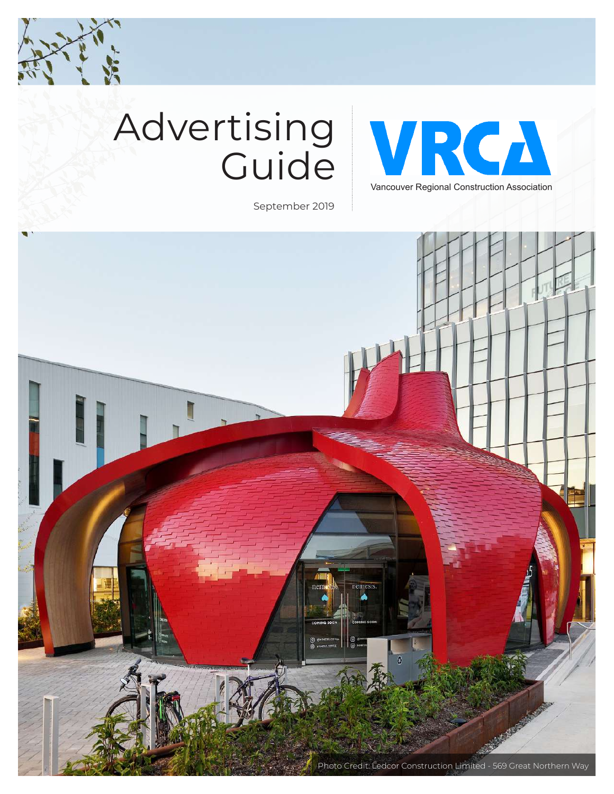

# Advertising **Guide**



September 2019

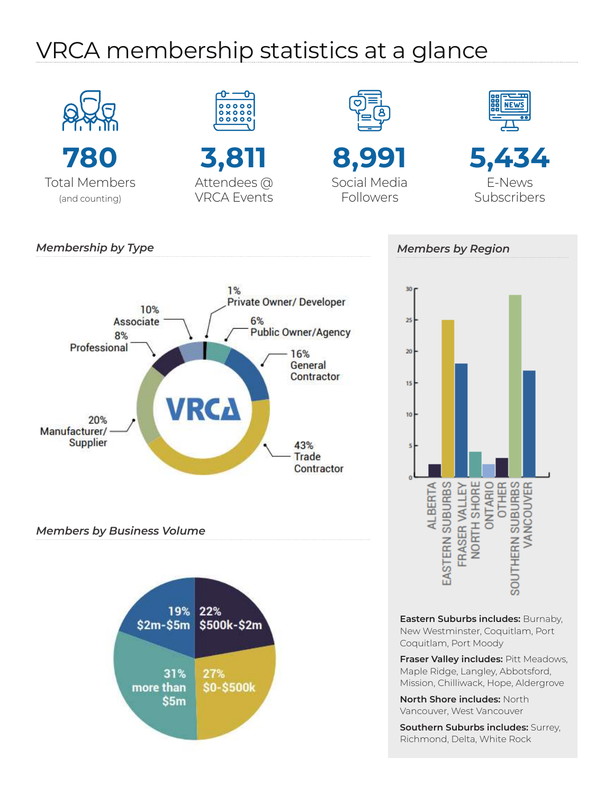## VRCA membership statistics at a glance



**Southern Suburbs includes:** Surrey, Richmond, Delta, White Rock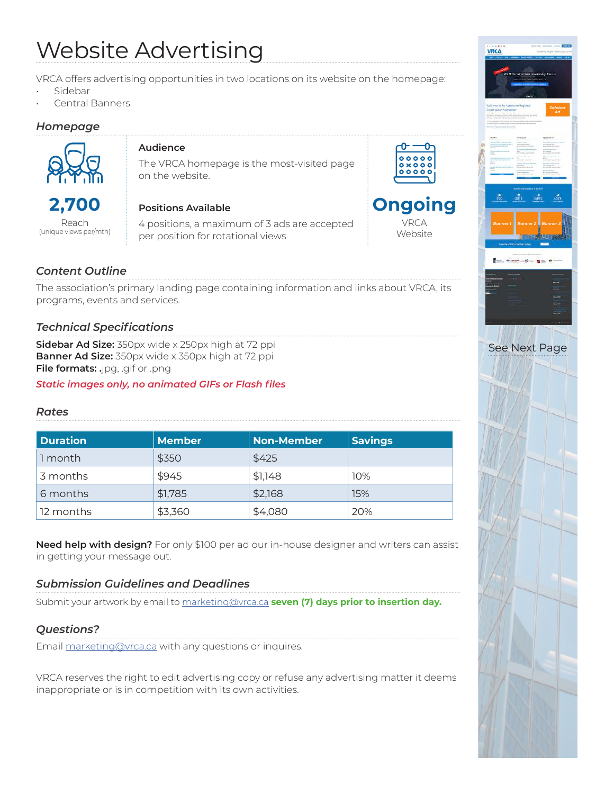## Website Advertising

VRCA offers advertising opportunities in two locations on its website on the homepage:

- Sidebar
- Central Banners

### *Homepage*



### **Audience**

The VRCA homepage is the most-visited page on the website.

Reach (unique views per/mth)

### **Positions Available**

4 positions, a maximum of 3 ads are accepted per position for rotational views





*Content Outline*

The association's primary landing page containing information and links about VRCA, its programs, events and services.

### *Technical Specifications*

**Sidebar Ad Size:** 350px wide x 250px high at 72 ppi **Banner Ad Size:** 350px wide x 350px high at 72 ppi **File formats: .**jpg, .gif or .png

*Static images only, no animated GIFs or Flash files*

### *Rates*

| <b>Duration</b> | <b>Member</b> | <b>Non-Member</b> | <b>Savings</b> |
|-----------------|---------------|-------------------|----------------|
| 1 month         | \$350         | \$425             |                |
| 3 months        | \$945         | \$1,148           | 10%            |
| 6 months        | \$1,785       | \$2,168           | 15%            |
| 12 months       | \$3,360       | \$4,080           | 20%            |

**Need help with design?** For only \$100 per ad our in-house designer and writers can assist in getting your message out.

### *Submission Guidelines and Deadlines*

Submit your artwork by email to marketing@vrca.ca **seven (7) days prior to insertion day.**

### *Questions?*

Email marketing@vrca.ca with any questions or inquires.

VRCA reserves the right to edit advertising copy or refuse any advertising matter it deems inappropriate or is in competition with its own activities.

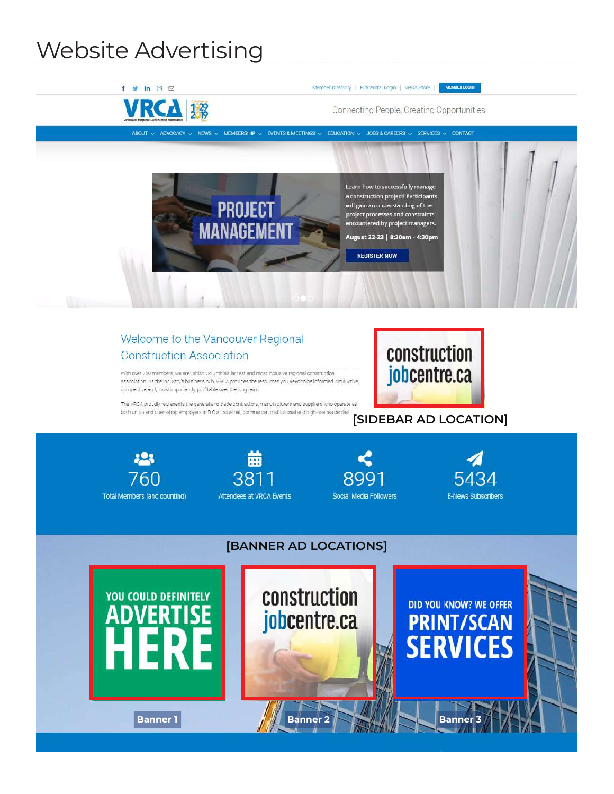## Website Advertising

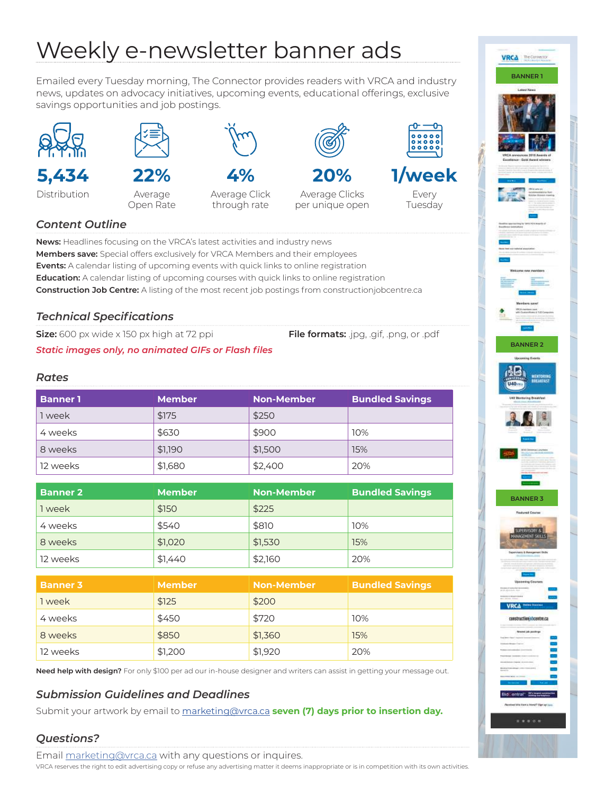## Weekly e-newsletter banner ads

Emailed every Tuesday morning, The Connector provides readers with VRCA and industry news, updates on advocacy initiatives, upcoming events, educational offerings, exclusive savings opportunities and job postings.



**5,434**

Distribution



**22%**

Average Open Rate

*Static images only, no animated GIFs or Flash files*



**4%** Average Click

through rate

Average Clicks per unique open







**BANNER 1**

VRCA The Connection

**BANNER 2**

**BANNER 3**

casstructionichosatre.ca



Tuesday

### *Content Outline*

**News:** Headlines focusing on the VRCA's latest activities and industry news **Members save:** Special offers exclusively for VRCA Members and their employees **Events:** A calendar listing of upcoming events with quick links to online registration **Education:** A calendar listing of upcoming courses with quick links to online registration **Construction Job Centre:** A listing of the most recent job postings from constructionjobcentre.ca

### *Technical Specifications*

**Size:** 600 px wide x 150 px high at 72 ppi **File formats:** .jpg, .gif, .png, or .pdf

### *Rates*

| <b>Banner 1</b> | <b>Member</b> | <b>Non-Member</b> | <b>Bundled Savings</b> |
|-----------------|---------------|-------------------|------------------------|
| 1 week          | \$175         | \$250             |                        |
| 4 weeks         | \$630         | \$900             | 10%                    |
| 8 weeks         | \$1.190       | \$1,500           | 15%                    |
| 12 weeks        | \$1,680       | \$2,400           | 20%                    |

| <b>Banner 2</b> | <b>Member</b> | <b>Non-Member</b> | <b>Bundled Savings</b> |
|-----------------|---------------|-------------------|------------------------|
| 1 week          | \$150         | \$225             |                        |
| 4 weeks         | \$540         | \$810             | 10%                    |
| 8 weeks         | \$1,020       | \$1,530           | 15%                    |
| 12 weeks        | \$1,440       | \$2,160           | 20%                    |
|                 |               |                   |                        |

| <b>Banner 3</b> | <b>Member</b> | <b>Non-Member</b> | <b>Bundled Savings</b> |
|-----------------|---------------|-------------------|------------------------|
| 1 week          | \$125         | \$200             |                        |
| 4 weeks         | \$450         | \$720             | 10%                    |
| 8 weeks         | \$850         | \$1,360           | 15%                    |
| 12 weeks        | \$1,200       | \$1,920           | 20%                    |

**Need help with design?** For only \$100 per ad our in-house designer and writers can assist in getting your message out.

### *Submission Guidelines and Deadlines*

Submit your artwork by email to marketing@vrca.ca **seven (7) days prior to insertion day.**

### *Questions?*

Email marketing@vrca.ca with any questions or inquires.

VRCA reserves the right to edit advertising copy or refuse any advertising matter it deems inappropriate or is in competition with its own activities.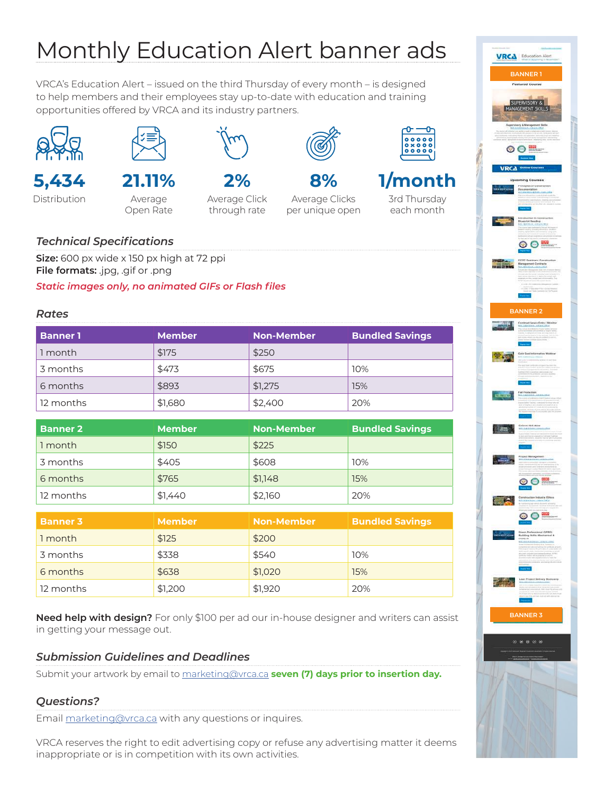## Monthly Education Alert banner ads

VRCA's Education Alert – issued on the third Thursday of every month – is designed to help members and their employees stay up-to-date with education and training opportunities offered by VRCA and its industry partners.





## **5,434**

Distribution



Average Open Rate



**2%**

Average Click through rate



**8%** Average Clicks per unique open





3rd Thursday each month

### *Technical Specifications*

**Size:** 600 px wide x 150 px high at 72 ppi **File formats:** .jpg, .gif or .png

*Static images only, no animated GIFs or Flash files*

### *Rates*

| <b>Banner 1</b> | <b>Member</b> | <b>Non-Member</b> | <b>Bundled Savings</b> |
|-----------------|---------------|-------------------|------------------------|
| 1 month         | \$175         | \$250             |                        |
| 3 months        | \$473         | \$675             | 10%                    |
| 6 months        | \$893         | \$1,275           | 15%                    |
| 12 months       | \$1,680       | \$2,400           | 20%                    |

| <b>Banner 2</b> | <b>Member</b> | <b>Non-Member</b> | <b>Bundled Savings</b> |
|-----------------|---------------|-------------------|------------------------|
| 1 month         | \$150         | \$225             |                        |
| 3 months        | \$405         | \$608             | 10%                    |
| 6 months        | \$765         | \$1,148           | 15%                    |
| 12 months       | \$1,440       | \$2,160           | 20%                    |

| <b>Banner 3</b> | <b>Member</b> | <b>Non-Member</b> | <b>Bundled Savings</b> |
|-----------------|---------------|-------------------|------------------------|
| 1 month         | \$125         | \$200             |                        |
| 3 months        | \$338         | \$540             | 10%                    |
| 6 months        | \$638         | \$1,020           | 15%                    |
| 12 months       | \$1,200       | \$1,920           | 20%                    |

**Need help with design?** For only \$100 per ad our in-house designer and writers can assist in getting your message out.

### *Submission Guidelines and Deadlines*

Submit your artwork by email to marketing@vrca.ca **seven (7) days prior to insertion day.**

### *Questions?*

Email marketing@vrca.ca with any questions or inquires.

VRCA reserves the right to edit advertising copy or refuse any advertising matter it deems inappropriate or is in competition with its own activities.

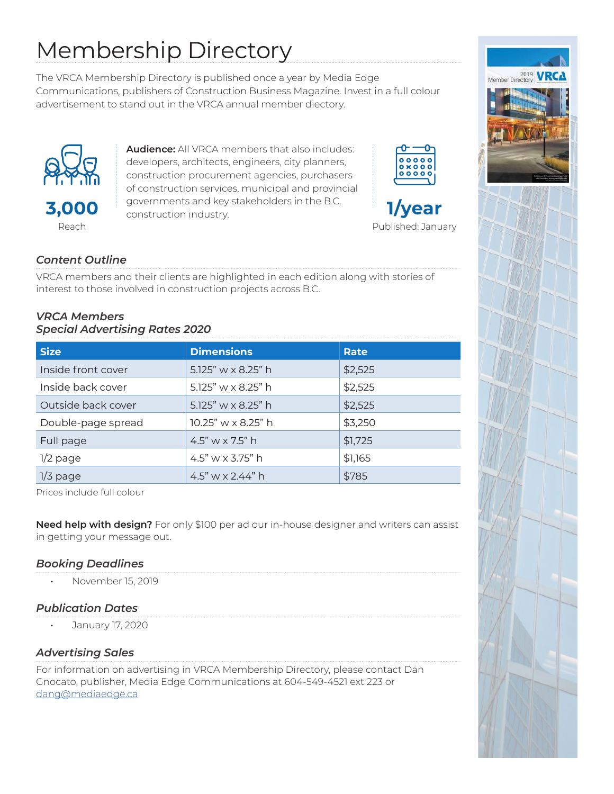## Membership Directory

The VRCA Membership Directory is published once a year by Media Edge Communications, publishers of Construction Business Magazine. Invest in a full colour advertisement to stand out in the VRCA annual member diectory.



**Audience:** All VRCA members that also includes: developers, architects, engineers, city planners, construction procurement agencies, purchasers of construction services, municipal and provincial governments and key stakeholders in the B.C. construction industry.





### *Content Outline*

VRCA members and their clients are highlighted in each edition along with stories of interest to those involved in construction projects across B.C.

### *VRCA Members Special Advertising Rates 2020*

| <b>Size</b>        | <b>Dimensions</b>       | Rate    |  |  |
|--------------------|-------------------------|---------|--|--|
| Inside front cover | 5.125" w x 8.25" h      | \$2,525 |  |  |
| Inside back cover  | 5.125" w x 8.25" h      | \$2,525 |  |  |
| Outside back cover | 5.125" w x 8.25" h      | \$2,525 |  |  |
| Double-page spread | 10.25" w x 8.25" h      | \$3,250 |  |  |
| Full page          | 4.5" w $\times$ 7.5" h  | \$1,725 |  |  |
| $1/2$ page         | 4.5" w $\times$ 3.75" h | \$1,165 |  |  |
| $1/3$ page         | 4.5" w x 2.44" h        | \$785   |  |  |

Prices include full colour

**Need help with design?** For only \$100 per ad our in-house designer and writers can assist in getting your message out.

### *Booking Deadlines*

• November 15, 2019

### *Publication Dates*

• January 17, 2020

### *Advertising Sales*

For information on advertising in VRCA Membership Directory, please contact Dan Gnocato, publisher, Media Edge Communications at 604-549-4521 ext 223 or dang@mediaedge.ca